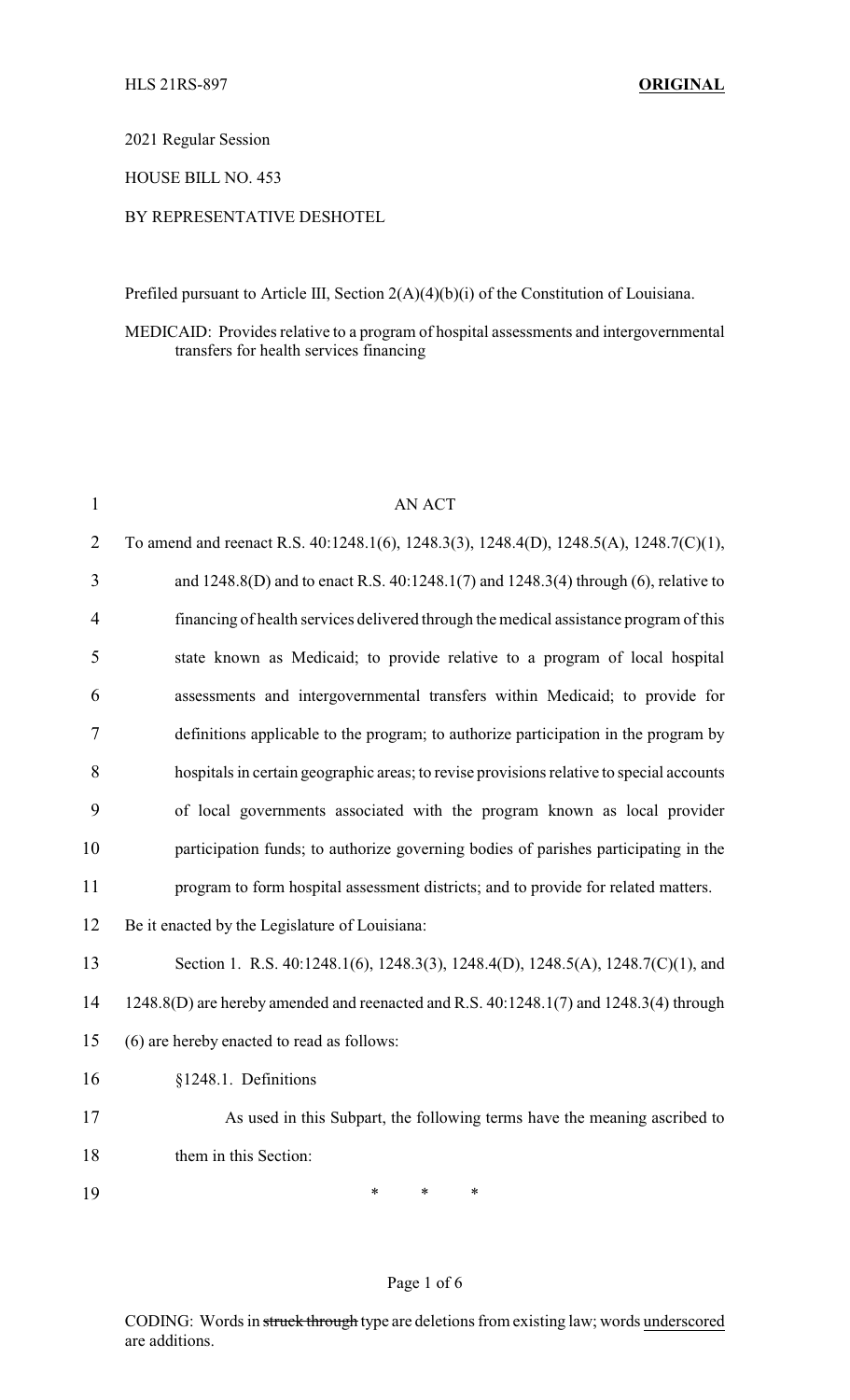2021 Regular Session

HOUSE BILL NO. 453

## BY REPRESENTATIVE DESHOTEL

Prefiled pursuant to Article III, Section 2(A)(4)(b)(i) of the Constitution of Louisiana.

### MEDICAID: Provides relative to a program of hospital assessments and intergovernmental transfers for health services financing

| $\mathbf{1}$   | <b>AN ACT</b>                                                                            |
|----------------|------------------------------------------------------------------------------------------|
| $\overline{2}$ | To amend and reenact R.S. 40:1248.1(6), 1248.3(3), 1248.4(D), 1248.5(A), 1248.7(C)(1),   |
| 3              | and 1248.8(D) and to enact R.S. 40:1248.1(7) and 1248.3(4) through (6), relative to      |
| 4              | financing of health services delivered through the medical assistance program of this    |
| 5              | state known as Medicaid; to provide relative to a program of local hospital              |
| 6              | assessments and intergovernmental transfers within Medicaid; to provide for              |
| 7              | definitions applicable to the program; to authorize participation in the program by      |
| 8              | hospitals in certain geographic areas; to revise provisions relative to special accounts |
| 9              | of local governments associated with the program known as local provider                 |
| 10             | participation funds; to authorize governing bodies of parishes participating in the      |
| 11             | program to form hospital assessment districts; and to provide for related matters.       |
| 12             | Be it enacted by the Legislature of Louisiana:                                           |
| 13             | Section 1. R.S. 40:1248.1(6), 1248.3(3), 1248.4(D), 1248.5(A), 1248.7(C)(1), and         |
| 14             | 1248.8(D) are hereby amended and reenacted and R.S. 40:1248.1(7) and 1248.3(4) through   |
| 15             | (6) are hereby enacted to read as follows:                                               |
| 16             | §1248.1. Definitions                                                                     |
| 17             | As used in this Subpart, the following terms have the meaning ascribed to                |
| 18             | them in this Section:                                                                    |
| 19             | $\ast$<br>*<br>*                                                                         |

### Page 1 of 6

CODING: Words in struck through type are deletions from existing law; words underscored are additions.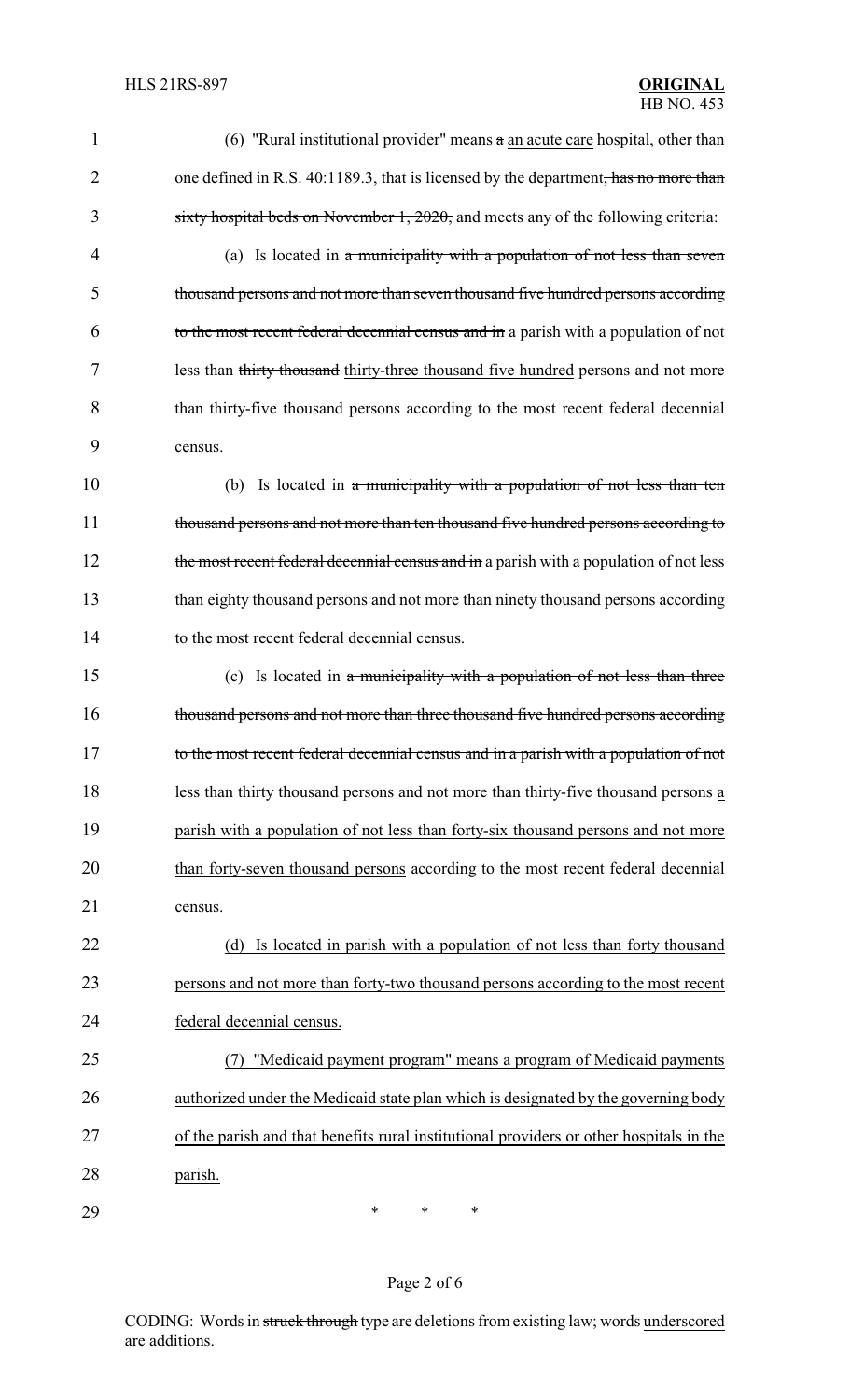| 1              | (6) "Rural institutional provider" means $\alpha$ an acute care hospital, other than    |
|----------------|-----------------------------------------------------------------------------------------|
| $\overline{2}$ | one defined in R.S. 40:1189.3, that is licensed by the department, has no more than     |
| 3              | sixty hospital beds on November 1, $2020$ , and meets any of the following criteria:    |
| 4              | (a) Is located in a municipality with a population of not less than seven               |
| 5              | thousand persons and not more than seven thousand five hundred persons according        |
| 6              | to the most recent federal decennial census and in a parish with a population of not    |
| 7              | less than thirty thousand thirty-three thousand five hundred persons and not more       |
| 8              | than thirty-five thousand persons according to the most recent federal decennial        |
| 9              | census.                                                                                 |
| 10             | (b) Is located in a municipality with a population of not less than ten                 |
| 11             | thousand persons and not more than ten thousand five hundred persons according to       |
| 12             | the most recent federal decennial census and in a parish with a population of not less  |
| 13             | than eighty thousand persons and not more than ninety thousand persons according        |
| 14             | to the most recent federal decennial census.                                            |
| 15             | (c) Is located in $\alpha$ municipality with a population of not less than three        |
| 16             | thousand persons and not more than three thousand five hundred persons according        |
| 17             | to the most recent federal decennial census and in a parish with a population of not    |
| 18             | less than thirty thousand persons and not more than thirty-five thousand persons a      |
| 19             | parish with a population of not less than forty-six thousand persons and not more       |
| 20             | than forty-seven thousand persons according to the most recent federal decennial        |
| 21             | census.                                                                                 |
| 22             | Is located in parish with a population of not less than forty thousand<br>(d)           |
| 23             | persons and not more than forty-two thousand persons according to the most recent       |
| 24             | federal decennial census.                                                               |
| 25             | "Medicaid payment program" means a program of Medicaid payments                         |
| 26             | authorized under the Medicaid state plan which is designated by the governing body      |
| 27             | of the parish and that benefits rural institutional providers or other hospitals in the |
| 28             | parish.                                                                                 |
| 29             | ∗<br>∗<br>∗                                                                             |

CODING: Words in struck through type are deletions from existing law; words underscored are additions.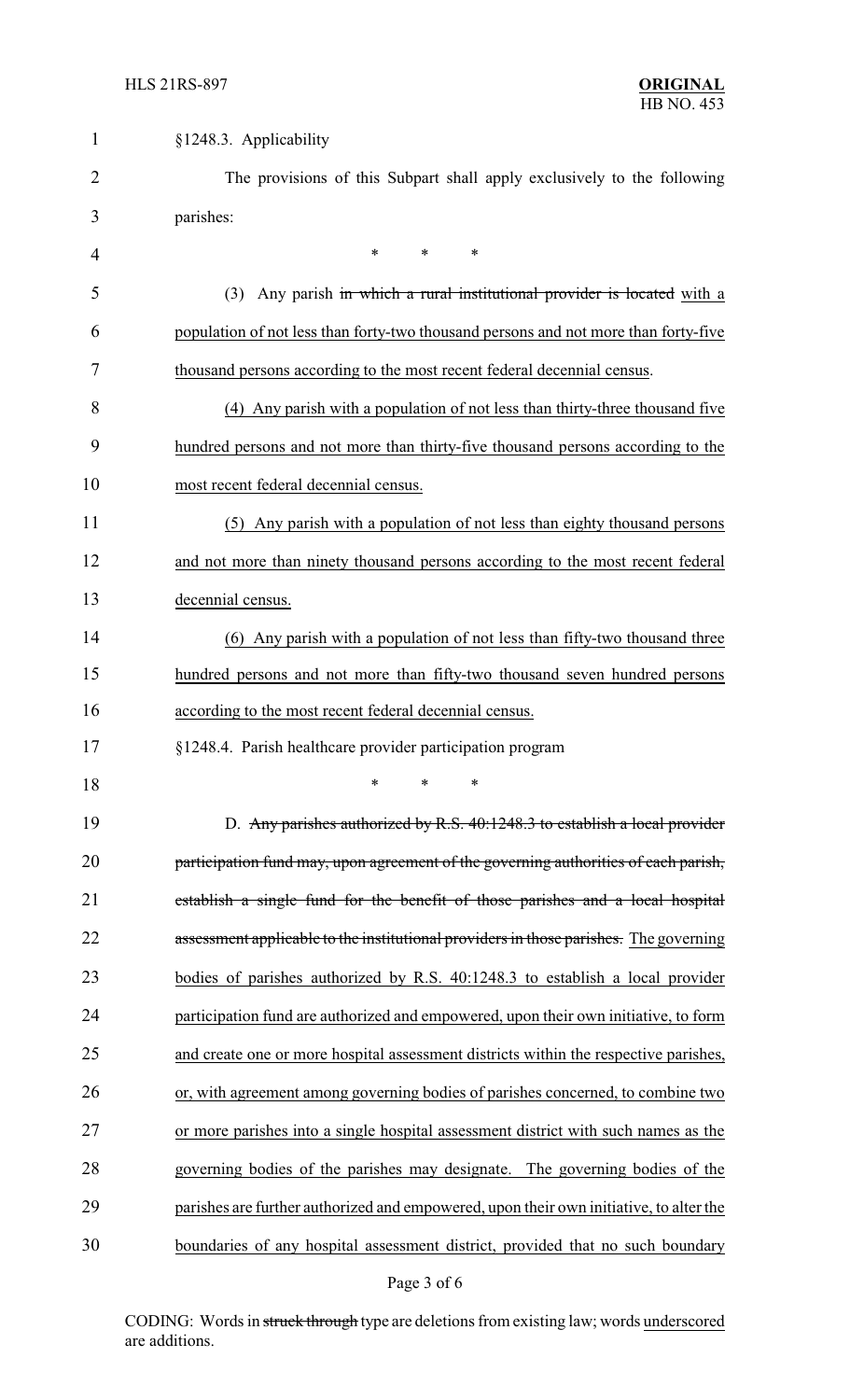| $\mathbf{1}$ | §1248.3. Applicability                                                                 |  |  |
|--------------|----------------------------------------------------------------------------------------|--|--|
| 2            | The provisions of this Subpart shall apply exclusively to the following                |  |  |
| 3            | parishes:                                                                              |  |  |
| 4            | $\ast$<br>$\ast$<br>∗                                                                  |  |  |
| 5            | (3) Any parish in which a rural institutional provider is located with a               |  |  |
| 6            | population of not less than forty-two thousand persons and not more than forty-five    |  |  |
| 7            | thousand persons according to the most recent federal decennial census.                |  |  |
| 8            | (4) Any parish with a population of not less than thirty-three thousand five           |  |  |
| 9            | hundred persons and not more than thirty-five thousand persons according to the        |  |  |
| 10           | most recent federal decennial census.                                                  |  |  |
| 11           | (5) Any parish with a population of not less than eighty thousand persons              |  |  |
| 12           | and not more than ninety thousand persons according to the most recent federal         |  |  |
| 13           | decennial census.                                                                      |  |  |
| 14           | (6) Any parish with a population of not less than fifty-two thousand three             |  |  |
| 15           | hundred persons and not more than fifty-two thousand seven hundred persons             |  |  |
| 16           | according to the most recent federal decennial census.                                 |  |  |
| 17           | §1248.4. Parish healthcare provider participation program                              |  |  |
| 18           | *<br>$\ast$<br>*                                                                       |  |  |
| 19           | D. Any parishes authorized by R.S. 40:1248.3 to establish a local provider             |  |  |
| 20           | participation fund may, upon agreement of the governing authorities of each parish,    |  |  |
| 21           | establish a single fund for the benefit of those parishes and a local hospital         |  |  |
| 22           | assessment applicable to the institutional providers in those parishes. The governing  |  |  |
| 23           | bodies of parishes authorized by R.S. 40:1248.3 to establish a local provider          |  |  |
| 24           | participation fund are authorized and empowered, upon their own initiative, to form    |  |  |
| 25           | and create one or more hospital assessment districts within the respective parishes,   |  |  |
| 26           | or, with agreement among governing bodies of parishes concerned, to combine two        |  |  |
| 27           | or more parishes into a single hospital assessment district with such names as the     |  |  |
| 28           | governing bodies of the parishes may designate. The governing bodies of the            |  |  |
| 29           | parishes are further authorized and empowered, upon their own initiative, to alter the |  |  |
| 30           | boundaries of any hospital assessment district, provided that no such boundary         |  |  |

# Page 3 of 6

CODING: Words in struck through type are deletions from existing law; words underscored are additions.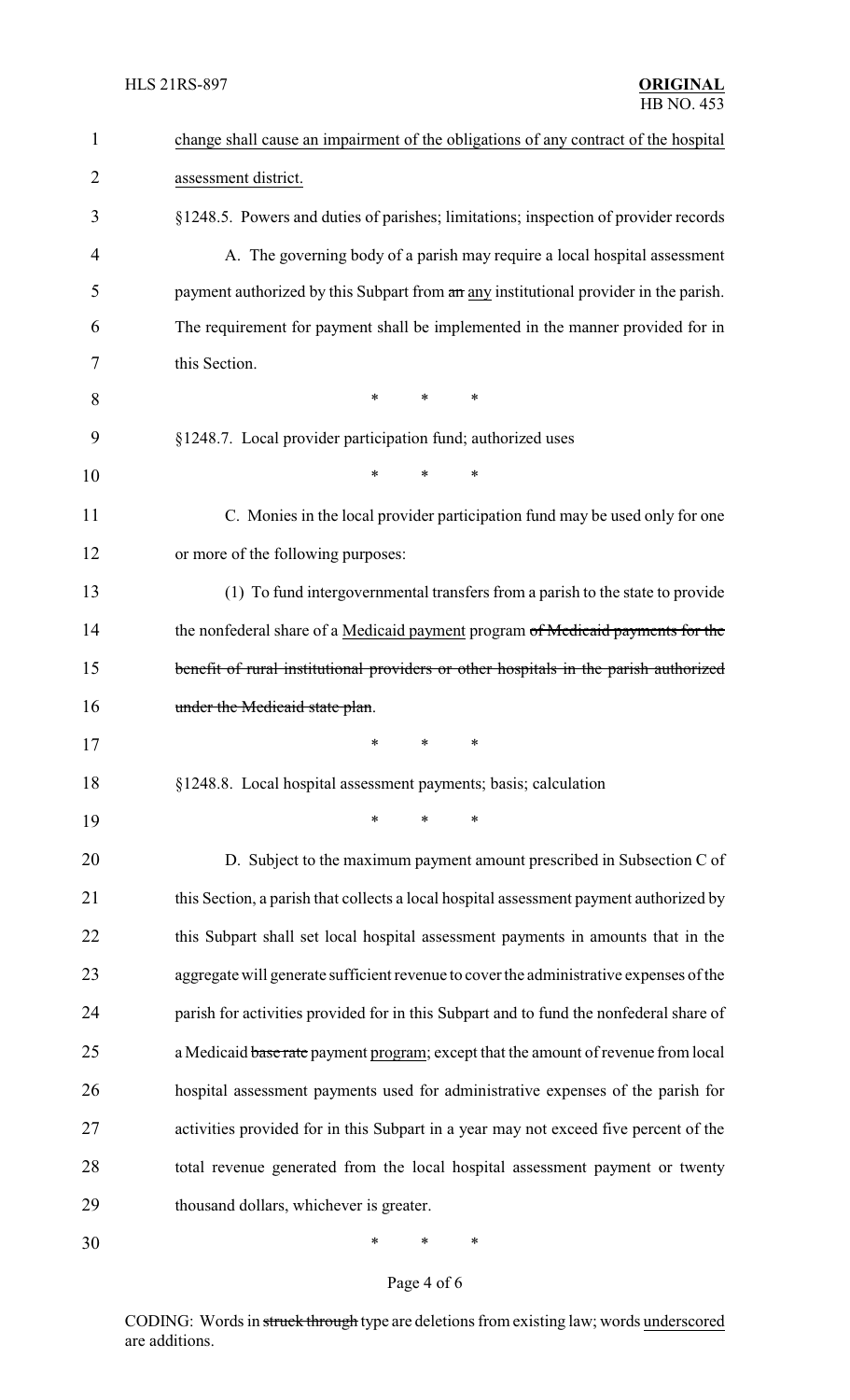| $\mathbf{1}$   | change shall cause an impairment of the obligations of any contract of the hospital    |  |  |
|----------------|----------------------------------------------------------------------------------------|--|--|
| $\overline{2}$ | assessment district.                                                                   |  |  |
| 3              | §1248.5. Powers and duties of parishes; limitations; inspection of provider records    |  |  |
| 4              | A. The governing body of a parish may require a local hospital assessment              |  |  |
| 5              | payment authorized by this Subpart from an any institutional provider in the parish.   |  |  |
| 6              | The requirement for payment shall be implemented in the manner provided for in         |  |  |
| 7              | this Section.                                                                          |  |  |
| 8              | $\ast$<br>$\ast$<br>∗                                                                  |  |  |
| 9              | §1248.7. Local provider participation fund; authorized uses                            |  |  |
| 10             | $\ast$<br>*<br>∗                                                                       |  |  |
| 11             | C. Monies in the local provider participation fund may be used only for one            |  |  |
| 12             | or more of the following purposes:                                                     |  |  |
| 13             | (1) To fund intergovernmental transfers from a parish to the state to provide          |  |  |
| 14             | the nonfederal share of a Medicaid payment program of Medicaid payments for the        |  |  |
| 15             | benefit of rural institutional providers or other hospitals in the parish authorized   |  |  |
| 16             | under the Medicaid state plan.                                                         |  |  |
| 17             | *<br>∗<br>∗                                                                            |  |  |
| 18             | §1248.8. Local hospital assessment payments; basis; calculation                        |  |  |
| 19             | *<br>∗<br>∗                                                                            |  |  |
| 20             | D. Subject to the maximum payment amount prescribed in Subsection C of                 |  |  |
| 21             | this Section, a parish that collects a local hospital assessment payment authorized by |  |  |
| 22             | this Subpart shall set local hospital assessment payments in amounts that in the       |  |  |
| 23             | aggregate will generate sufficient revenue to cover the administrative expenses of the |  |  |
| 24             | parish for activities provided for in this Subpart and to fund the nonfederal share of |  |  |
| 25             | a Medicaid base rate payment program; except that the amount of revenue from local     |  |  |
| 26             | hospital assessment payments used for administrative expenses of the parish for        |  |  |
| 27             | activities provided for in this Subpart in a year may not exceed five percent of the   |  |  |
| 28             | total revenue generated from the local hospital assessment payment or twenty           |  |  |
| 29             | thousand dollars, whichever is greater.                                                |  |  |
| 30             | ∗<br>∗<br>∗                                                                            |  |  |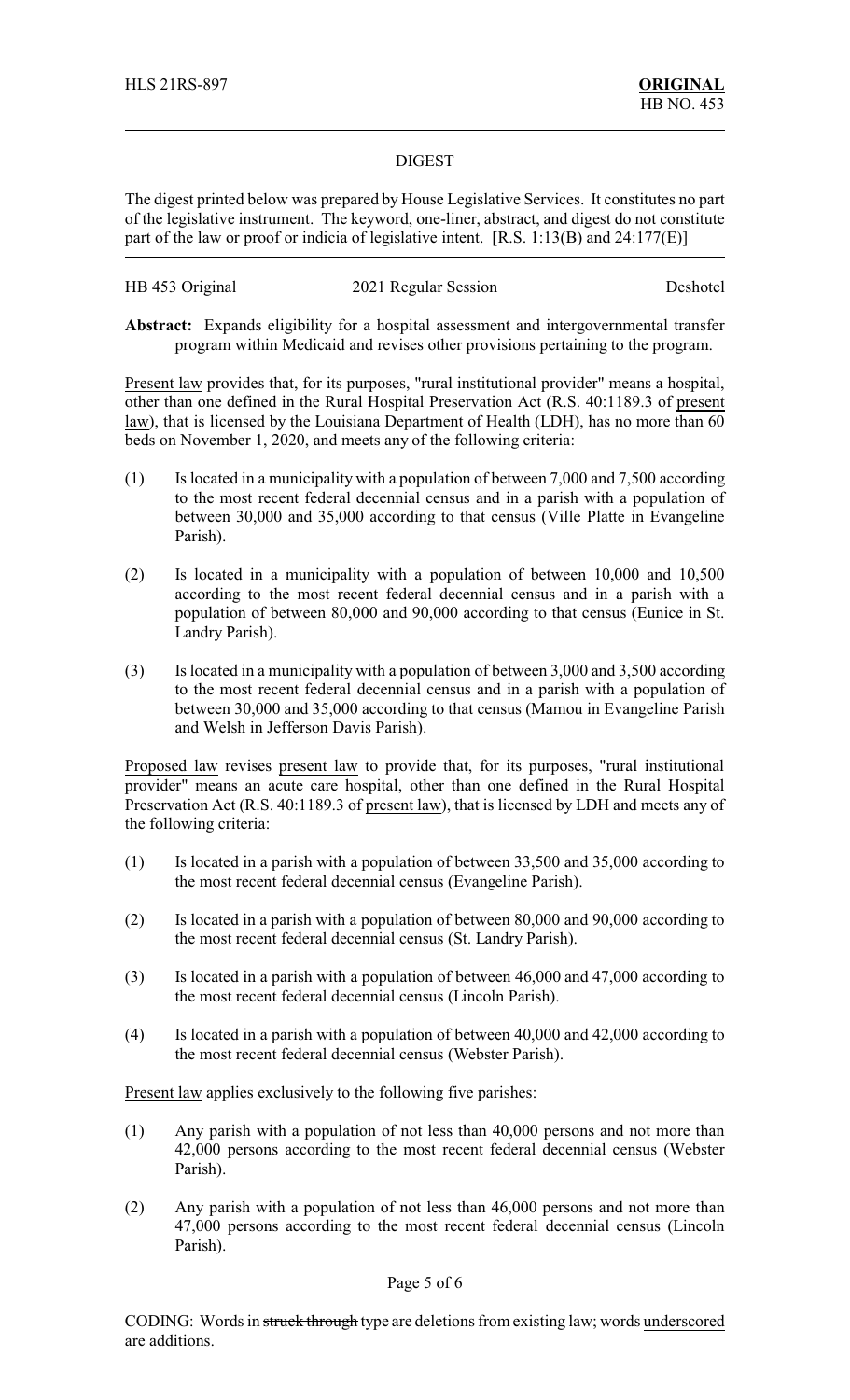### DIGEST

The digest printed below was prepared by House Legislative Services. It constitutes no part of the legislative instrument. The keyword, one-liner, abstract, and digest do not constitute part of the law or proof or indicia of legislative intent. [R.S. 1:13(B) and 24:177(E)]

| HB 453 Original | 2021 Regular Session | Deshotel |
|-----------------|----------------------|----------|
|-----------------|----------------------|----------|

**Abstract:** Expands eligibility for a hospital assessment and intergovernmental transfer program within Medicaid and revises other provisions pertaining to the program.

Present law provides that, for its purposes, "rural institutional provider" means a hospital, other than one defined in the Rural Hospital Preservation Act (R.S. 40:1189.3 of present law), that is licensed by the Louisiana Department of Health (LDH), has no more than 60 beds on November 1, 2020, and meets any of the following criteria:

- (1) Is located in a municipality with a population of between 7,000 and 7,500 according to the most recent federal decennial census and in a parish with a population of between 30,000 and 35,000 according to that census (Ville Platte in Evangeline Parish).
- (2) Is located in a municipality with a population of between 10,000 and 10,500 according to the most recent federal decennial census and in a parish with a population of between 80,000 and 90,000 according to that census (Eunice in St. Landry Parish).
- (3) Is located in a municipality with a population of between 3,000 and 3,500 according to the most recent federal decennial census and in a parish with a population of between 30,000 and 35,000 according to that census (Mamou in Evangeline Parish and Welsh in Jefferson Davis Parish).

Proposed law revises present law to provide that, for its purposes, "rural institutional provider" means an acute care hospital, other than one defined in the Rural Hospital Preservation Act (R.S. 40:1189.3 of present law), that is licensed by LDH and meets any of the following criteria:

- (1) Is located in a parish with a population of between 33,500 and 35,000 according to the most recent federal decennial census (Evangeline Parish).
- (2) Is located in a parish with a population of between 80,000 and 90,000 according to the most recent federal decennial census (St. Landry Parish).
- (3) Is located in a parish with a population of between 46,000 and 47,000 according to the most recent federal decennial census (Lincoln Parish).
- (4) Is located in a parish with a population of between 40,000 and 42,000 according to the most recent federal decennial census (Webster Parish).

Present law applies exclusively to the following five parishes:

- (1) Any parish with a population of not less than 40,000 persons and not more than 42,000 persons according to the most recent federal decennial census (Webster Parish).
- (2) Any parish with a population of not less than 46,000 persons and not more than 47,000 persons according to the most recent federal decennial census (Lincoln Parish).

#### Page 5 of 6